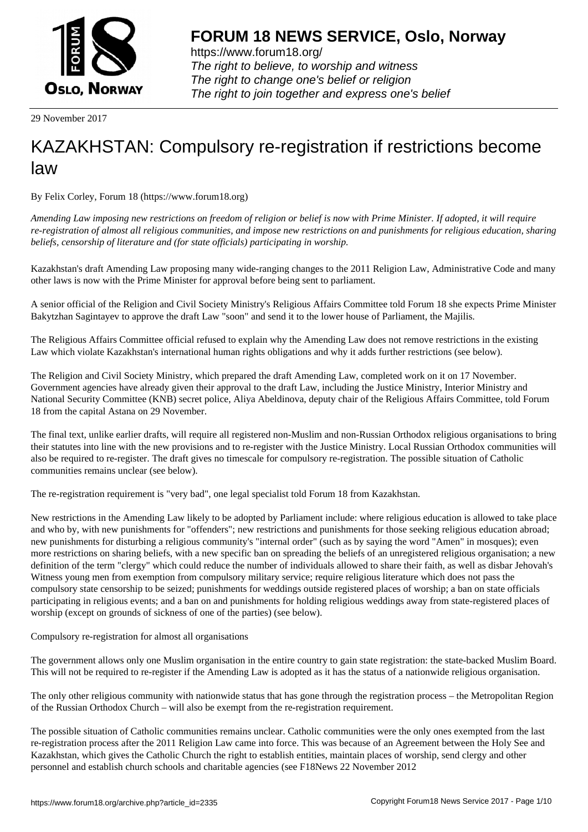

https://www.forum18.org/ The right to believe, to worship and witness The right to change one's belief or religion [The right to join together a](https://www.forum18.org/)nd express one's belief

29 November 2017

# [KAZAKHSTAN:](https://www.forum18.org) Compulsory re-registration if restrictions become law

By Felix Corley, Forum 18 (https://www.forum18.org)

*Amending Law imposing new restrictions on freedom of religion or belief is now with Prime Minister. If adopted, it will require re-registration of almost all religious communities, and impose new restrictions on and punishments for religious education, sharing beliefs, censorship of literature and (for state officials) participating in worship.*

Kazakhstan's draft Amending Law proposing many wide-ranging changes to the 2011 Religion Law, Administrative Code and many other laws is now with the Prime Minister for approval before being sent to parliament.

A senior official of the Religion and Civil Society Ministry's Religious Affairs Committee told Forum 18 she expects Prime Minister Bakytzhan Sagintayev to approve the draft Law "soon" and send it to the lower house of Parliament, the Majilis.

The Religious Affairs Committee official refused to explain why the Amending Law does not remove restrictions in the existing Law which violate Kazakhstan's international human rights obligations and why it adds further restrictions (see below).

The Religion and Civil Society Ministry, which prepared the draft Amending Law, completed work on it on 17 November. Government agencies have already given their approval to the draft Law, including the Justice Ministry, Interior Ministry and National Security Committee (KNB) secret police, Aliya Abeldinova, deputy chair of the Religious Affairs Committee, told Forum 18 from the capital Astana on 29 November.

The final text, unlike earlier drafts, will require all registered non-Muslim and non-Russian Orthodox religious organisations to bring their statutes into line with the new provisions and to re-register with the Justice Ministry. Local Russian Orthodox communities will also be required to re-register. The draft gives no timescale for compulsory re-registration. The possible situation of Catholic communities remains unclear (see below).

The re-registration requirement is "very bad", one legal specialist told Forum 18 from Kazakhstan.

New restrictions in the Amending Law likely to be adopted by Parliament include: where religious education is allowed to take place and who by, with new punishments for "offenders"; new restrictions and punishments for those seeking religious education abroad; new punishments for disturbing a religious community's "internal order" (such as by saying the word "Amen" in mosques); even more restrictions on sharing beliefs, with a new specific ban on spreading the beliefs of an unregistered religious organisation; a new definition of the term "clergy" which could reduce the number of individuals allowed to share their faith, as well as disbar Jehovah's Witness young men from exemption from compulsory military service; require religious literature which does not pass the compulsory state censorship to be seized; punishments for weddings outside registered places of worship; a ban on state officials participating in religious events; and a ban on and punishments for holding religious weddings away from state-registered places of worship (except on grounds of sickness of one of the parties) (see below).

Compulsory re-registration for almost all organisations

The government allows only one Muslim organisation in the entire country to gain state registration: the state-backed Muslim Board. This will not be required to re-register if the Amending Law is adopted as it has the status of a nationwide religious organisation.

The only other religious community with nationwide status that has gone through the registration process – the Metropolitan Region of the Russian Orthodox Church – will also be exempt from the re-registration requirement.

The possible situation of Catholic communities remains unclear. Catholic communities were the only ones exempted from the last re-registration process after the 2011 Religion Law came into force. This was because of an Agreement between the Holy See and Kazakhstan, which gives the Catholic Church the right to establish entities, maintain places of worship, send clergy and other personnel and establish church schools and charitable agencies (see F18News 22 November 2012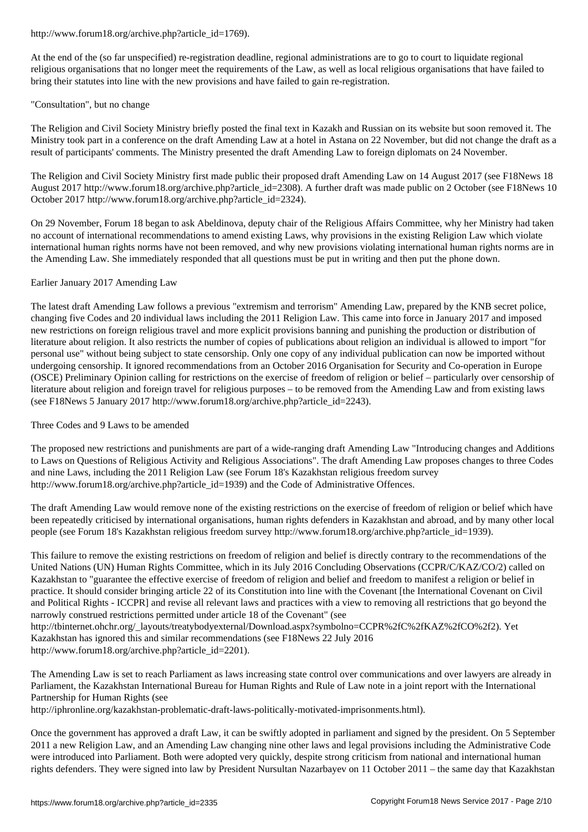At the end of the (so far unspecified) re-registration deadline, regional administrations are to go to court to liquidate regional religious organisations that no longer meet the requirements of the Law, as well as local religious organisations that have failed to bring their statutes into line with the new provisions and have failed to gain re-registration.

# "Consultation", but no change

The Religion and Civil Society Ministry briefly posted the final text in Kazakh and Russian on its website but soon removed it. The Ministry took part in a conference on the draft Amending Law at a hotel in Astana on 22 November, but did not change the draft as a result of participants' comments. The Ministry presented the draft Amending Law to foreign diplomats on 24 November.

The Religion and Civil Society Ministry first made public their proposed draft Amending Law on 14 August 2017 (see F18News 18 August 2017 http://www.forum18.org/archive.php?article\_id=2308). A further draft was made public on 2 October (see F18News 10 October 2017 http://www.forum18.org/archive.php?article\_id=2324).

On 29 November, Forum 18 began to ask Abeldinova, deputy chair of the Religious Affairs Committee, why her Ministry had taken no account of international recommendations to amend existing Laws, why provisions in the existing Religion Law which violate international human rights norms have not been removed, and why new provisions violating international human rights norms are in the Amending Law. She immediately responded that all questions must be put in writing and then put the phone down.

# Earlier January 2017 Amending Law

The latest draft Amending Law follows a previous "extremism and terrorism" Amending Law, prepared by the KNB secret police, changing five Codes and 20 individual laws including the 2011 Religion Law. This came into force in January 2017 and imposed new restrictions on foreign religious travel and more explicit provisions banning and punishing the production or distribution of literature about religion. It also restricts the number of copies of publications about religion an individual is allowed to import "for personal use" without being subject to state censorship. Only one copy of any individual publication can now be imported without undergoing censorship. It ignored recommendations from an October 2016 Organisation for Security and Co-operation in Europe (OSCE) Preliminary Opinion calling for restrictions on the exercise of freedom of religion or belief – particularly over censorship of literature about religion and foreign travel for religious purposes – to be removed from the Amending Law and from existing laws (see F18News 5 January 2017 http://www.forum18.org/archive.php?article\_id=2243).

# Three Codes and 9 Laws to be amended

The proposed new restrictions and punishments are part of a wide-ranging draft Amending Law "Introducing changes and Additions to Laws on Questions of Religious Activity and Religious Associations". The draft Amending Law proposes changes to three Codes and nine Laws, including the 2011 Religion Law (see Forum 18's Kazakhstan religious freedom survey http://www.forum18.org/archive.php?article\_id=1939) and the Code of Administrative Offences.

The draft Amending Law would remove none of the existing restrictions on the exercise of freedom of religion or belief which have been repeatedly criticised by international organisations, human rights defenders in Kazakhstan and abroad, and by many other local people (see Forum 18's Kazakhstan religious freedom survey http://www.forum18.org/archive.php?article\_id=1939).

This failure to remove the existing restrictions on freedom of religion and belief is directly contrary to the recommendations of the United Nations (UN) Human Rights Committee, which in its July 2016 Concluding Observations (CCPR/C/KAZ/CO/2) called on Kazakhstan to "guarantee the effective exercise of freedom of religion and belief and freedom to manifest a religion or belief in practice. It should consider bringing article 22 of its Constitution into line with the Covenant [the International Covenant on Civil and Political Rights - ICCPR] and revise all relevant laws and practices with a view to removing all restrictions that go beyond the narrowly construed restrictions permitted under article 18 of the Covenant" (see http://tbinternet.ohchr.org/\_layouts/treatybodyexternal/Download.aspx?symbolno=CCPR%2fC%2fKAZ%2fCO%2f2). Yet Kazakhstan has ignored this and similar recommendations (see F18News 22 July 2016 http://www.forum18.org/archive.php?article\_id=2201).

The Amending Law is set to reach Parliament as laws increasing state control over communications and over lawyers are already in Parliament, the Kazakhstan International Bureau for Human Rights and Rule of Law note in a joint report with the International Partnership for Human Rights (see

http://iphronline.org/kazakhstan-problematic-draft-laws-politically-motivated-imprisonments.html).

Once the government has approved a draft Law, it can be swiftly adopted in parliament and signed by the president. On 5 September 2011 a new Religion Law, and an Amending Law changing nine other laws and legal provisions including the Administrative Code were introduced into Parliament. Both were adopted very quickly, despite strong criticism from national and international human rights defenders. They were signed into law by President Nursultan Nazarbayev on 11 October 2011 – the same day that Kazakhstan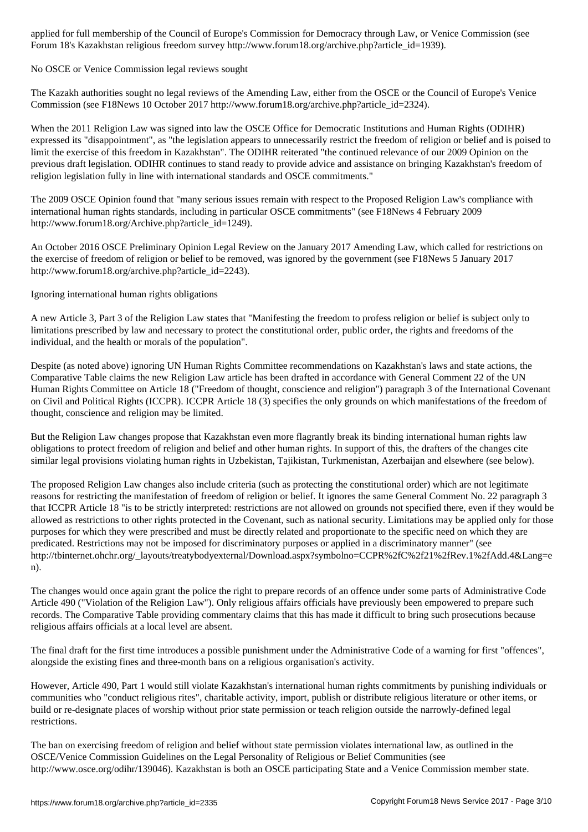Forum 18's Kazakhstan religious freedom survey http://www.forum18.org/archive.php?article\_id=1939).

### No OSCE or Venice Commission legal reviews sought

The Kazakh authorities sought no legal reviews of the Amending Law, either from the OSCE or the Council of Europe's Venice Commission (see F18News 10 October 2017 http://www.forum18.org/archive.php?article\_id=2324).

When the 2011 Religion Law was signed into law the OSCE Office for Democratic Institutions and Human Rights (ODIHR) expressed its "disappointment", as "the legislation appears to unnecessarily restrict the freedom of religion or belief and is poised to limit the exercise of this freedom in Kazakhstan". The ODIHR reiterated "the continued relevance of our 2009 Opinion on the previous draft legislation. ODIHR continues to stand ready to provide advice and assistance on bringing Kazakhstan's freedom of religion legislation fully in line with international standards and OSCE commitments."

The 2009 OSCE Opinion found that "many serious issues remain with respect to the Proposed Religion Law's compliance with international human rights standards, including in particular OSCE commitments" (see F18News 4 February 2009 http://www.forum18.org/Archive.php?article\_id=1249).

An October 2016 OSCE Preliminary Opinion Legal Review on the January 2017 Amending Law, which called for restrictions on the exercise of freedom of religion or belief to be removed, was ignored by the government (see F18News 5 January 2017 http://www.forum18.org/archive.php?article\_id=2243).

Ignoring international human rights obligations

A new Article 3, Part 3 of the Religion Law states that "Manifesting the freedom to profess religion or belief is subject only to limitations prescribed by law and necessary to protect the constitutional order, public order, the rights and freedoms of the individual, and the health or morals of the population".

Despite (as noted above) ignoring UN Human Rights Committee recommendations on Kazakhstan's laws and state actions, the Comparative Table claims the new Religion Law article has been drafted in accordance with General Comment 22 of the UN Human Rights Committee on Article 18 ("Freedom of thought, conscience and religion") paragraph 3 of the International Covenant on Civil and Political Rights (ICCPR). ICCPR Article 18 (3) specifies the only grounds on which manifestations of the freedom of thought, conscience and religion may be limited.

But the Religion Law changes propose that Kazakhstan even more flagrantly break its binding international human rights law obligations to protect freedom of religion and belief and other human rights. In support of this, the drafters of the changes cite similar legal provisions violating human rights in Uzbekistan, Tajikistan, Turkmenistan, Azerbaijan and elsewhere (see below).

The proposed Religion Law changes also include criteria (such as protecting the constitutional order) which are not legitimate reasons for restricting the manifestation of freedom of religion or belief. It ignores the same General Comment No. 22 paragraph 3 that ICCPR Article 18 "is to be strictly interpreted: restrictions are not allowed on grounds not specified there, even if they would be allowed as restrictions to other rights protected in the Covenant, such as national security. Limitations may be applied only for those purposes for which they were prescribed and must be directly related and proportionate to the specific need on which they are predicated. Restrictions may not be imposed for discriminatory purposes or applied in a discriminatory manner" (see http://tbinternet.ohchr.org/\_layouts/treatybodyexternal/Download.aspx?symbolno=CCPR%2fC%2f21%2fRev.1%2fAdd.4&Lang=e n).

The changes would once again grant the police the right to prepare records of an offence under some parts of Administrative Code Article 490 ("Violation of the Religion Law"). Only religious affairs officials have previously been empowered to prepare such records. The Comparative Table providing commentary claims that this has made it difficult to bring such prosecutions because religious affairs officials at a local level are absent.

The final draft for the first time introduces a possible punishment under the Administrative Code of a warning for first "offences", alongside the existing fines and three-month bans on a religious organisation's activity.

However, Article 490, Part 1 would still violate Kazakhstan's international human rights commitments by punishing individuals or communities who "conduct religious rites", charitable activity, import, publish or distribute religious literature or other items, or build or re-designate places of worship without prior state permission or teach religion outside the narrowly-defined legal restrictions.

The ban on exercising freedom of religion and belief without state permission violates international law, as outlined in the OSCE/Venice Commission Guidelines on the Legal Personality of Religious or Belief Communities (see http://www.osce.org/odihr/139046). Kazakhstan is both an OSCE participating State and a Venice Commission member state.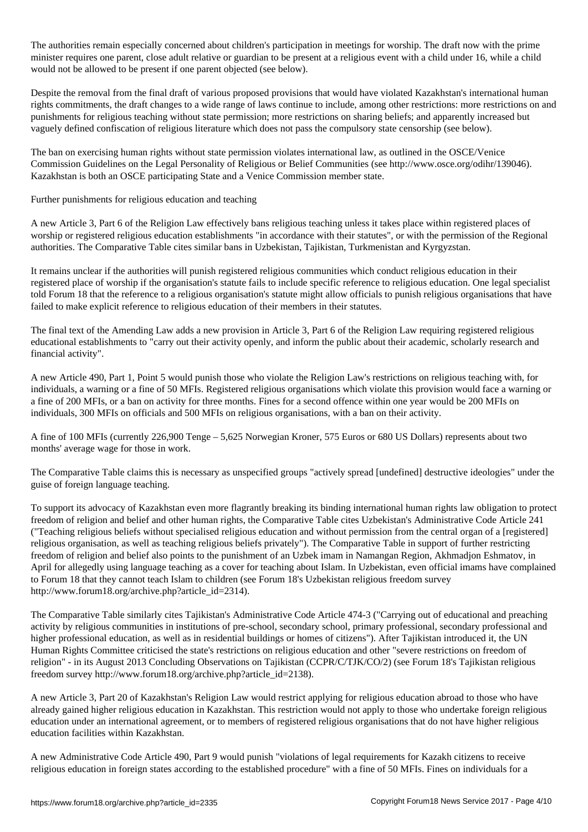The authorities remain especially concerned about children's participation in meetings for with the prime  $\Gamma$ minister requires one parent, close adult relative or guardian to be present at a religious event with a child under 16, while a child would not be allowed to be present if one parent objected (see below).

Despite the removal from the final draft of various proposed provisions that would have violated Kazakhstan's international human rights commitments, the draft changes to a wide range of laws continue to include, among other restrictions: more restrictions on and punishments for religious teaching without state permission; more restrictions on sharing beliefs; and apparently increased but vaguely defined confiscation of religious literature which does not pass the compulsory state censorship (see below).

The ban on exercising human rights without state permission violates international law, as outlined in the OSCE/Venice Commission Guidelines on the Legal Personality of Religious or Belief Communities (see http://www.osce.org/odihr/139046). Kazakhstan is both an OSCE participating State and a Venice Commission member state.

Further punishments for religious education and teaching

A new Article 3, Part 6 of the Religion Law effectively bans religious teaching unless it takes place within registered places of worship or registered religious education establishments "in accordance with their statutes", or with the permission of the Regional authorities. The Comparative Table cites similar bans in Uzbekistan, Tajikistan, Turkmenistan and Kyrgyzstan.

It remains unclear if the authorities will punish registered religious communities which conduct religious education in their registered place of worship if the organisation's statute fails to include specific reference to religious education. One legal specialist told Forum 18 that the reference to a religious organisation's statute might allow officials to punish religious organisations that have failed to make explicit reference to religious education of their members in their statutes.

The final text of the Amending Law adds a new provision in Article 3, Part 6 of the Religion Law requiring registered religious educational establishments to "carry out their activity openly, and inform the public about their academic, scholarly research and financial activity".

A new Article 490, Part 1, Point 5 would punish those who violate the Religion Law's restrictions on religious teaching with, for individuals, a warning or a fine of 50 MFIs. Registered religious organisations which violate this provision would face a warning or a fine of 200 MFIs, or a ban on activity for three months. Fines for a second offence within one year would be 200 MFIs on individuals, 300 MFIs on officials and 500 MFIs on religious organisations, with a ban on their activity.

A fine of 100 MFIs (currently 226,900 Tenge – 5,625 Norwegian Kroner, 575 Euros or 680 US Dollars) represents about two months' average wage for those in work.

The Comparative Table claims this is necessary as unspecified groups "actively spread [undefined] destructive ideologies" under the guise of foreign language teaching.

To support its advocacy of Kazakhstan even more flagrantly breaking its binding international human rights law obligation to protect freedom of religion and belief and other human rights, the Comparative Table cites Uzbekistan's Administrative Code Article 241 ("Teaching religious beliefs without specialised religious education and without permission from the central organ of a [registered] religious organisation, as well as teaching religious beliefs privately"). The Comparative Table in support of further restricting freedom of religion and belief also points to the punishment of an Uzbek imam in Namangan Region, Akhmadjon Eshmatov, in April for allegedly using language teaching as a cover for teaching about Islam. In Uzbekistan, even official imams have complained to Forum 18 that they cannot teach Islam to children (see Forum 18's Uzbekistan religious freedom survey http://www.forum18.org/archive.php?article\_id=2314).

The Comparative Table similarly cites Tajikistan's Administrative Code Article 474-3 ("Carrying out of educational and preaching activity by religious communities in institutions of pre-school, secondary school, primary professional, secondary professional and higher professional education, as well as in residential buildings or homes of citizens"). After Tajikistan introduced it, the UN Human Rights Committee criticised the state's restrictions on religious education and other "severe restrictions on freedom of religion" - in its August 2013 Concluding Observations on Tajikistan (CCPR/C/TJK/CO/2) (see Forum 18's Tajikistan religious freedom survey http://www.forum18.org/archive.php?article\_id=2138).

A new Article 3, Part 20 of Kazakhstan's Religion Law would restrict applying for religious education abroad to those who have already gained higher religious education in Kazakhstan. This restriction would not apply to those who undertake foreign religious education under an international agreement, or to members of registered religious organisations that do not have higher religious education facilities within Kazakhstan.

A new Administrative Code Article 490, Part 9 would punish "violations of legal requirements for Kazakh citizens to receive religious education in foreign states according to the established procedure" with a fine of 50 MFIs. Fines on individuals for a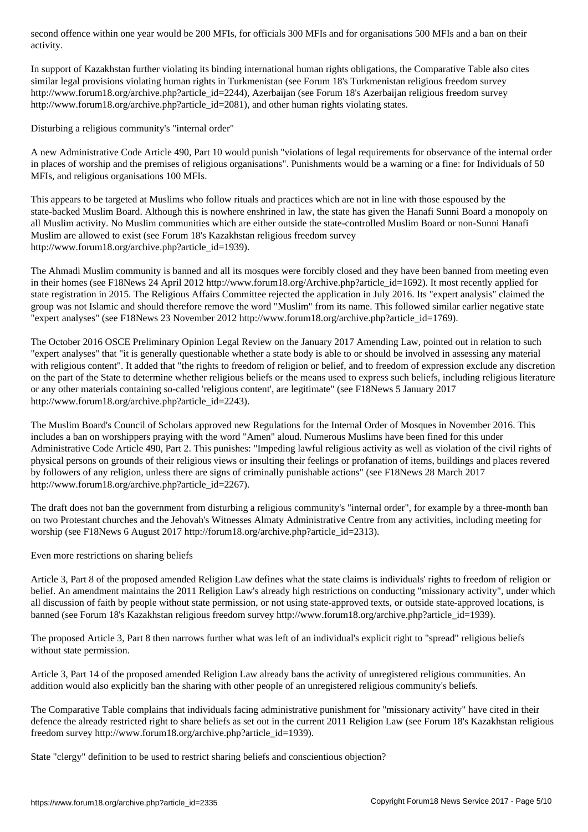In support of Kazakhstan further violating its binding international human rights obligations, the Comparative Table also cites similar legal provisions violating human rights in Turkmenistan (see Forum 18's Turkmenistan religious freedom survey http://www.forum18.org/archive.php?article\_id=2244), Azerbaijan (see Forum 18's Azerbaijan religious freedom survey http://www.forum18.org/archive.php?article\_id=2081), and other human rights violating states.

Disturbing a religious community's "internal order"

activity.

A new Administrative Code Article 490, Part 10 would punish "violations of legal requirements for observance of the internal order in places of worship and the premises of religious organisations". Punishments would be a warning or a fine: for Individuals of 50 MFIs, and religious organisations 100 MFIs.

This appears to be targeted at Muslims who follow rituals and practices which are not in line with those espoused by the state-backed Muslim Board. Although this is nowhere enshrined in law, the state has given the Hanafi Sunni Board a monopoly on all Muslim activity. No Muslim communities which are either outside the state-controlled Muslim Board or non-Sunni Hanafi Muslim are allowed to exist (see Forum 18's Kazakhstan religious freedom survey http://www.forum18.org/archive.php?article\_id=1939).

The Ahmadi Muslim community is banned and all its mosques were forcibly closed and they have been banned from meeting even in their homes (see F18News 24 April 2012 http://www.forum18.org/Archive.php?article\_id=1692). It most recently applied for state registration in 2015. The Religious Affairs Committee rejected the application in July 2016. Its "expert analysis" claimed the group was not Islamic and should therefore remove the word "Muslim" from its name. This followed similar earlier negative state "expert analyses" (see F18News 23 November 2012 http://www.forum18.org/archive.php?article\_id=1769).

The October 2016 OSCE Preliminary Opinion Legal Review on the January 2017 Amending Law, pointed out in relation to such "expert analyses" that "it is generally questionable whether a state body is able to or should be involved in assessing any material with religious content". It added that "the rights to freedom of religion or belief, and to freedom of expression exclude any discretion on the part of the State to determine whether religious beliefs or the means used to express such beliefs, including religious literature or any other materials containing so-called 'religious content', are legitimate" (see F18News 5 January 2017 http://www.forum18.org/archive.php?article\_id=2243).

The Muslim Board's Council of Scholars approved new Regulations for the Internal Order of Mosques in November 2016. This includes a ban on worshippers praying with the word "Amen" aloud. Numerous Muslims have been fined for this under Administrative Code Article 490, Part 2. This punishes: "Impeding lawful religious activity as well as violation of the civil rights of physical persons on grounds of their religious views or insulting their feelings or profanation of items, buildings and places revered by followers of any religion, unless there are signs of criminally punishable actions" (see F18News 28 March 2017 http://www.forum18.org/archive.php?article\_id=2267).

The draft does not ban the government from disturbing a religious community's "internal order", for example by a three-month ban on two Protestant churches and the Jehovah's Witnesses Almaty Administrative Centre from any activities, including meeting for worship (see F18News 6 August 2017 http://forum18.org/archive.php?article\_id=2313).

Even more restrictions on sharing beliefs

Article 3, Part 8 of the proposed amended Religion Law defines what the state claims is individuals' rights to freedom of religion or belief. An amendment maintains the 2011 Religion Law's already high restrictions on conducting "missionary activity", under which all discussion of faith by people without state permission, or not using state-approved texts, or outside state-approved locations, is banned (see Forum 18's Kazakhstan religious freedom survey http://www.forum18.org/archive.php?article\_id=1939).

The proposed Article 3, Part 8 then narrows further what was left of an individual's explicit right to "spread" religious beliefs without state permission.

Article 3, Part 14 of the proposed amended Religion Law already bans the activity of unregistered religious communities. An addition would also explicitly ban the sharing with other people of an unregistered religious community's beliefs.

The Comparative Table complains that individuals facing administrative punishment for "missionary activity" have cited in their defence the already restricted right to share beliefs as set out in the current 2011 Religion Law (see Forum 18's Kazakhstan religious freedom survey http://www.forum18.org/archive.php?article\_id=1939).

State "clergy" definition to be used to restrict sharing beliefs and conscientious objection?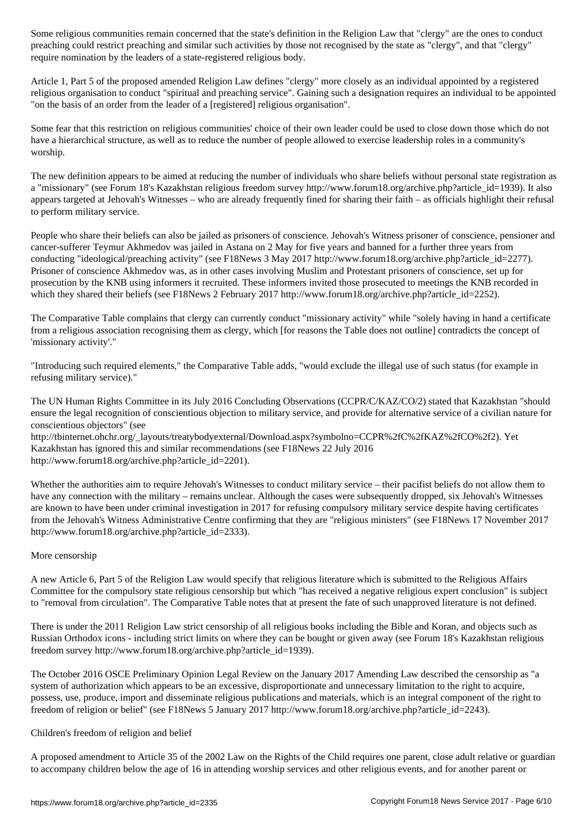preaching could restrict preaching and similar such activities by those not recognised by the state as "clergy", and that "clergy" require nomination by the leaders of a state-registered religious body.

Article 1, Part 5 of the proposed amended Religion Law defines "clergy" more closely as an individual appointed by a registered religious organisation to conduct "spiritual and preaching service". Gaining such a designation requires an individual to be appointed "on the basis of an order from the leader of a [registered] religious organisation".

Some fear that this restriction on religious communities' choice of their own leader could be used to close down those which do not have a hierarchical structure, as well as to reduce the number of people allowed to exercise leadership roles in a community's worship.

The new definition appears to be aimed at reducing the number of individuals who share beliefs without personal state registration as a "missionary" (see Forum 18's Kazakhstan religious freedom survey http://www.forum18.org/archive.php?article\_id=1939). It also appears targeted at Jehovah's Witnesses – who are already frequently fined for sharing their faith – as officials highlight their refusal to perform military service.

People who share their beliefs can also be jailed as prisoners of conscience. Jehovah's Witness prisoner of conscience, pensioner and cancer-sufferer Teymur Akhmedov was jailed in Astana on 2 May for five years and banned for a further three years from conducting "ideological/preaching activity" (see F18News 3 May 2017 http://www.forum18.org/archive.php?article\_id=2277). Prisoner of conscience Akhmedov was, as in other cases involving Muslim and Protestant prisoners of conscience, set up for prosecution by the KNB using informers it recruited. These informers invited those prosecuted to meetings the KNB recorded in which they shared their beliefs (see F18News 2 February 2017 http://www.forum18.org/archive.php?article\_id=2252).

The Comparative Table complains that clergy can currently conduct "missionary activity" while "solely having in hand a certificate from a religious association recognising them as clergy, which [for reasons the Table does not outline] contradicts the concept of 'missionary activity'."

"Introducing such required elements," the Comparative Table adds, "would exclude the illegal use of such status (for example in refusing military service)."

The UN Human Rights Committee in its July 2016 Concluding Observations (CCPR/C/KAZ/CO/2) stated that Kazakhstan "should ensure the legal recognition of conscientious objection to military service, and provide for alternative service of a civilian nature for conscientious objectors" (see

http://tbinternet.ohchr.org/\_layouts/treatybodyexternal/Download.aspx?symbolno=CCPR%2fC%2fKAZ%2fCO%2f2). Yet Kazakhstan has ignored this and similar recommendations (see F18News 22 July 2016 http://www.forum18.org/archive.php?article\_id=2201).

Whether the authorities aim to require Jehovah's Witnesses to conduct military service – their pacifist beliefs do not allow them to have any connection with the military – remains unclear. Although the cases were subsequently dropped, six Jehovah's Witnesses are known to have been under criminal investigation in 2017 for refusing compulsory military service despite having certificates from the Jehovah's Witness Administrative Centre confirming that they are "religious ministers" (see F18News 17 November 2017 http://www.forum18.org/archive.php?article\_id=2333).

# More censorship

A new Article 6, Part 5 of the Religion Law would specify that religious literature which is submitted to the Religious Affairs Committee for the compulsory state religious censorship but which "has received a negative religious expert conclusion" is subject to "removal from circulation". The Comparative Table notes that at present the fate of such unapproved literature is not defined.

There is under the 2011 Religion Law strict censorship of all religious books including the Bible and Koran, and objects such as Russian Orthodox icons - including strict limits on where they can be bought or given away (see Forum 18's Kazakhstan religious freedom survey http://www.forum18.org/archive.php?article\_id=1939).

The October 2016 OSCE Preliminary Opinion Legal Review on the January 2017 Amending Law described the censorship as "a system of authorization which appears to be an excessive, disproportionate and unnecessary limitation to the right to acquire, possess, use, produce, import and disseminate religious publications and materials, which is an integral component of the right to freedom of religion or belief" (see F18News 5 January 2017 http://www.forum18.org/archive.php?article\_id=2243).

#### Children's freedom of religion and belief

A proposed amendment to Article 35 of the 2002 Law on the Rights of the Child requires one parent, close adult relative or guardian to accompany children below the age of 16 in attending worship services and other religious events, and for another parent or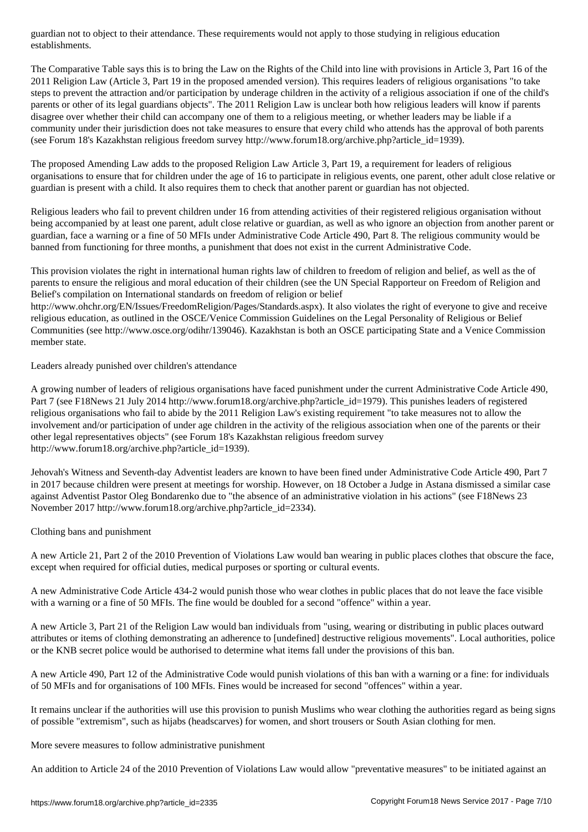The Comparative Table says this is to bring the Law on the Rights of the Child into line with provisions in Article 3, Part 16 of the 2011 Religion Law (Article 3, Part 19 in the proposed amended version). This requires leaders of religious organisations "to take steps to prevent the attraction and/or participation by underage children in the activity of a religious association if one of the child's parents or other of its legal guardians objects". The 2011 Religion Law is unclear both how religious leaders will know if parents disagree over whether their child can accompany one of them to a religious meeting, or whether leaders may be liable if a community under their jurisdiction does not take measures to ensure that every child who attends has the approval of both parents (see Forum 18's Kazakhstan religious freedom survey http://www.forum18.org/archive.php?article\_id=1939).

The proposed Amending Law adds to the proposed Religion Law Article 3, Part 19, a requirement for leaders of religious organisations to ensure that for children under the age of 16 to participate in religious events, one parent, other adult close relative or guardian is present with a child. It also requires them to check that another parent or guardian has not objected.

Religious leaders who fail to prevent children under 16 from attending activities of their registered religious organisation without being accompanied by at least one parent, adult close relative or guardian, as well as who ignore an objection from another parent or guardian, face a warning or a fine of 50 MFIs under Administrative Code Article 490, Part 8. The religious community would be banned from functioning for three months, a punishment that does not exist in the current Administrative Code.

This provision violates the right in international human rights law of children to freedom of religion and belief, as well as the of parents to ensure the religious and moral education of their children (see the UN Special Rapporteur on Freedom of Religion and Belief's compilation on International standards on freedom of religion or belief

http://www.ohchr.org/EN/Issues/FreedomReligion/Pages/Standards.aspx). It also violates the right of everyone to give and receive religious education, as outlined in the OSCE/Venice Commission Guidelines on the Legal Personality of Religious or Belief Communities (see http://www.osce.org/odihr/139046). Kazakhstan is both an OSCE participating State and a Venice Commission member state.

Leaders already punished over children's attendance

A growing number of leaders of religious organisations have faced punishment under the current Administrative Code Article 490, Part 7 (see F18News 21 July 2014 http://www.forum18.org/archive.php?article\_id=1979). This punishes leaders of registered religious organisations who fail to abide by the 2011 Religion Law's existing requirement "to take measures not to allow the involvement and/or participation of under age children in the activity of the religious association when one of the parents or their other legal representatives objects" (see Forum 18's Kazakhstan religious freedom survey http://www.forum18.org/archive.php?article\_id=1939).

Jehovah's Witness and Seventh-day Adventist leaders are known to have been fined under Administrative Code Article 490, Part 7 in 2017 because children were present at meetings for worship. However, on 18 October a Judge in Astana dismissed a similar case against Adventist Pastor Oleg Bondarenko due to "the absence of an administrative violation in his actions" (see F18News 23 November 2017 http://www.forum18.org/archive.php?article\_id=2334).

Clothing bans and punishment

A new Article 21, Part 2 of the 2010 Prevention of Violations Law would ban wearing in public places clothes that obscure the face, except when required for official duties, medical purposes or sporting or cultural events.

A new Administrative Code Article 434-2 would punish those who wear clothes in public places that do not leave the face visible with a warning or a fine of 50 MFIs. The fine would be doubled for a second "offence" within a year.

A new Article 3, Part 21 of the Religion Law would ban individuals from "using, wearing or distributing in public places outward attributes or items of clothing demonstrating an adherence to [undefined] destructive religious movements". Local authorities, police or the KNB secret police would be authorised to determine what items fall under the provisions of this ban.

A new Article 490, Part 12 of the Administrative Code would punish violations of this ban with a warning or a fine: for individuals of 50 MFIs and for organisations of 100 MFIs. Fines would be increased for second "offences" within a year.

It remains unclear if the authorities will use this provision to punish Muslims who wear clothing the authorities regard as being signs of possible "extremism", such as hijabs (headscarves) for women, and short trousers or South Asian clothing for men.

More severe measures to follow administrative punishment

An addition to Article 24 of the 2010 Prevention of Violations Law would allow "preventative measures" to be initiated against an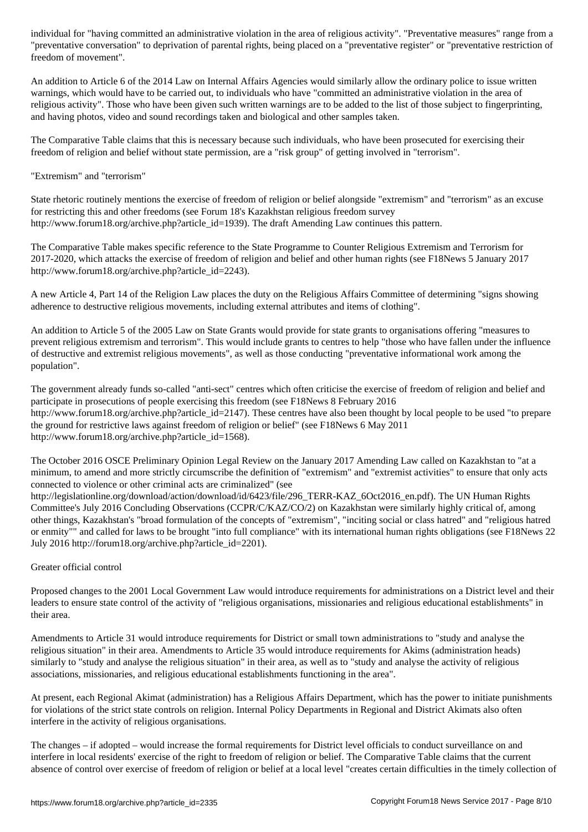"preventative conversation" to deprivation of parental rights, being placed on a "preventative register" or "preventative restriction of freedom of movement".

An addition to Article 6 of the 2014 Law on Internal Affairs Agencies would similarly allow the ordinary police to issue written warnings, which would have to be carried out, to individuals who have "committed an administrative violation in the area of religious activity". Those who have been given such written warnings are to be added to the list of those subject to fingerprinting, and having photos, video and sound recordings taken and biological and other samples taken.

The Comparative Table claims that this is necessary because such individuals, who have been prosecuted for exercising their freedom of religion and belief without state permission, are a "risk group" of getting involved in "terrorism".

"Extremism" and "terrorism"

State rhetoric routinely mentions the exercise of freedom of religion or belief alongside "extremism" and "terrorism" as an excuse for restricting this and other freedoms (see Forum 18's Kazakhstan religious freedom survey http://www.forum18.org/archive.php?article\_id=1939). The draft Amending Law continues this pattern.

The Comparative Table makes specific reference to the State Programme to Counter Religious Extremism and Terrorism for 2017-2020, which attacks the exercise of freedom of religion and belief and other human rights (see F18News 5 January 2017 http://www.forum18.org/archive.php?article\_id=2243).

A new Article 4, Part 14 of the Religion Law places the duty on the Religious Affairs Committee of determining "signs showing adherence to destructive religious movements, including external attributes and items of clothing".

An addition to Article 5 of the 2005 Law on State Grants would provide for state grants to organisations offering "measures to prevent religious extremism and terrorism". This would include grants to centres to help "those who have fallen under the influence of destructive and extremist religious movements", as well as those conducting "preventative informational work among the population".

The government already funds so-called "anti-sect" centres which often criticise the exercise of freedom of religion and belief and participate in prosecutions of people exercising this freedom (see F18News 8 February 2016 http://www.forum18.org/archive.php?article\_id=2147). These centres have also been thought by local people to be used "to prepare the ground for restrictive laws against freedom of religion or belief" (see F18News 6 May 2011 http://www.forum18.org/archive.php?article\_id=1568).

The October 2016 OSCE Preliminary Opinion Legal Review on the January 2017 Amending Law called on Kazakhstan to "at a minimum, to amend and more strictly circumscribe the definition of "extremism" and "extremist activities" to ensure that only acts connected to violence or other criminal acts are criminalized" (see

http://legislationline.org/download/action/download/id/6423/file/296\_TERR-KAZ\_6Oct2016\_en.pdf). The UN Human Rights Committee's July 2016 Concluding Observations (CCPR/C/KAZ/CO/2) on Kazakhstan were similarly highly critical of, among other things, Kazakhstan's "broad formulation of the concepts of "extremism", "inciting social or class hatred" and "religious hatred or enmity"" and called for laws to be brought "into full compliance" with its international human rights obligations (see F18News 22 July 2016 http://forum18.org/archive.php?article\_id=2201).

# Greater official control

Proposed changes to the 2001 Local Government Law would introduce requirements for administrations on a District level and their leaders to ensure state control of the activity of "religious organisations, missionaries and religious educational establishments" in their area.

Amendments to Article 31 would introduce requirements for District or small town administrations to "study and analyse the religious situation" in their area. Amendments to Article 35 would introduce requirements for Akims (administration heads) similarly to "study and analyse the religious situation" in their area, as well as to "study and analyse the activity of religious associations, missionaries, and religious educational establishments functioning in the area".

At present, each Regional Akimat (administration) has a Religious Affairs Department, which has the power to initiate punishments for violations of the strict state controls on religion. Internal Policy Departments in Regional and District Akimats also often interfere in the activity of religious organisations.

The changes – if adopted – would increase the formal requirements for District level officials to conduct surveillance on and interfere in local residents' exercise of the right to freedom of religion or belief. The Comparative Table claims that the current absence of control over exercise of freedom of religion or belief at a local level "creates certain difficulties in the timely collection of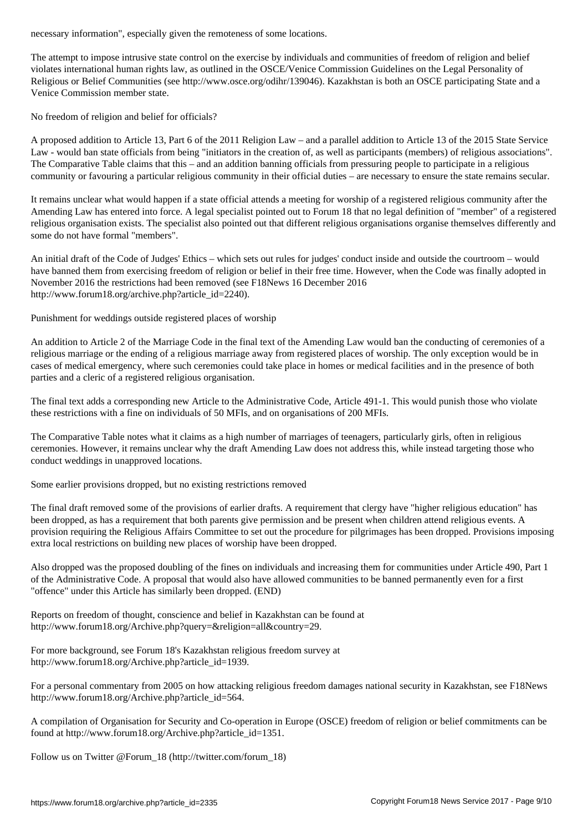The attempt to impose intrusive state control on the exercise by individuals and communities of freedom of religion and belief violates international human rights law, as outlined in the OSCE/Venice Commission Guidelines on the Legal Personality of Religious or Belief Communities (see http://www.osce.org/odihr/139046). Kazakhstan is both an OSCE participating State and a Venice Commission member state.

No freedom of religion and belief for officials?

A proposed addition to Article 13, Part 6 of the 2011 Religion Law – and a parallel addition to Article 13 of the 2015 State Service Law - would ban state officials from being "initiators in the creation of, as well as participants (members) of religious associations". The Comparative Table claims that this – and an addition banning officials from pressuring people to participate in a religious community or favouring a particular religious community in their official duties – are necessary to ensure the state remains secular.

It remains unclear what would happen if a state official attends a meeting for worship of a registered religious community after the Amending Law has entered into force. A legal specialist pointed out to Forum 18 that no legal definition of "member" of a registered religious organisation exists. The specialist also pointed out that different religious organisations organise themselves differently and some do not have formal "members".

An initial draft of the Code of Judges' Ethics – which sets out rules for judges' conduct inside and outside the courtroom – would have banned them from exercising freedom of religion or belief in their free time. However, when the Code was finally adopted in November 2016 the restrictions had been removed (see F18News 16 December 2016 http://www.forum18.org/archive.php?article\_id=2240).

Punishment for weddings outside registered places of worship

An addition to Article 2 of the Marriage Code in the final text of the Amending Law would ban the conducting of ceremonies of a religious marriage or the ending of a religious marriage away from registered places of worship. The only exception would be in cases of medical emergency, where such ceremonies could take place in homes or medical facilities and in the presence of both parties and a cleric of a registered religious organisation.

The final text adds a corresponding new Article to the Administrative Code, Article 491-1. This would punish those who violate these restrictions with a fine on individuals of 50 MFIs, and on organisations of 200 MFIs.

The Comparative Table notes what it claims as a high number of marriages of teenagers, particularly girls, often in religious ceremonies. However, it remains unclear why the draft Amending Law does not address this, while instead targeting those who conduct weddings in unapproved locations.

Some earlier provisions dropped, but no existing restrictions removed

The final draft removed some of the provisions of earlier drafts. A requirement that clergy have "higher religious education" has been dropped, as has a requirement that both parents give permission and be present when children attend religious events. A provision requiring the Religious Affairs Committee to set out the procedure for pilgrimages has been dropped. Provisions imposing extra local restrictions on building new places of worship have been dropped.

Also dropped was the proposed doubling of the fines on individuals and increasing them for communities under Article 490, Part 1 of the Administrative Code. A proposal that would also have allowed communities to be banned permanently even for a first "offence" under this Article has similarly been dropped. (END)

Reports on freedom of thought, conscience and belief in Kazakhstan can be found at http://www.forum18.org/Archive.php?query=&religion=all&country=29.

For more background, see Forum 18's Kazakhstan religious freedom survey at http://www.forum18.org/Archive.php?article\_id=1939.

For a personal commentary from 2005 on how attacking religious freedom damages national security in Kazakhstan, see F18News http://www.forum18.org/Archive.php?article\_id=564.

A compilation of Organisation for Security and Co-operation in Europe (OSCE) freedom of religion or belief commitments can be found at http://www.forum18.org/Archive.php?article\_id=1351.

Follow us on Twitter @Forum\_18 (http://twitter.com/forum\_18)